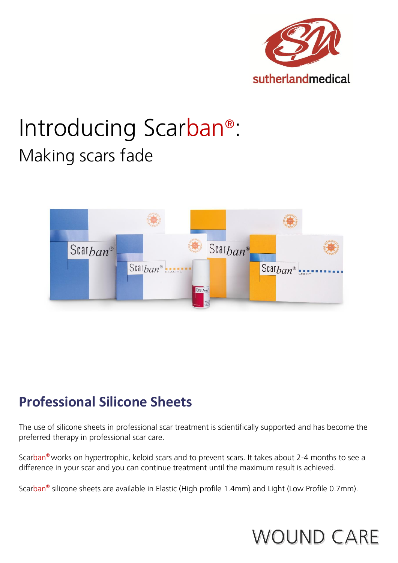

# Introducing Scarban® : Making scars fade



### **Professional Silicone Sheets**

The use of silicone sheets in professional scar treatment is scientifically supported and has become the preferred therapy in professional scar care.

Scarban® works on hypertrophic, keloid scars and to prevent scars. It takes about 2-4 months to see a difference in your scar and you can continue treatment until the maximum result is achieved.

Scarban<sup>®</sup> silicone sheets are available in Elastic (High profile 1.4mm) and Light (Low Profile 0.7mm).

## **WOUND CARE**